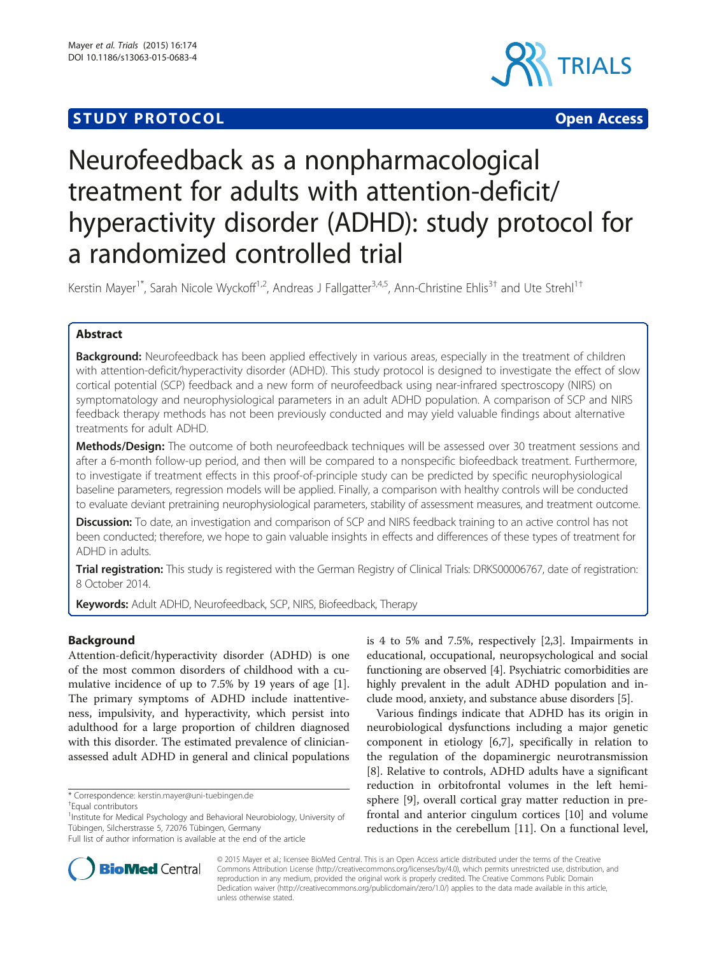# **STUDY PROTOCOL CONSUMING THE CONSUMING OPEN ACCESS**



# Neurofeedback as a nonpharmacological treatment for adults with attention-deficit/ hyperactivity disorder (ADHD): study protocol for a randomized controlled trial

Kerstin Mayer<sup>1\*</sup>, Sarah Nicole Wyckoff<sup>1,2</sup>, Andreas J Fallgatter<sup>3,4,5</sup>, Ann-Christine Ehlis<sup>3†</sup> and Ute Strehl<sup>1†</sup>

# Abstract

Background: Neurofeedback has been applied effectively in various areas, especially in the treatment of children with attention-deficit/hyperactivity disorder (ADHD). This study protocol is designed to investigate the effect of slow cortical potential (SCP) feedback and a new form of neurofeedback using near-infrared spectroscopy (NIRS) on symptomatology and neurophysiological parameters in an adult ADHD population. A comparison of SCP and NIRS feedback therapy methods has not been previously conducted and may yield valuable findings about alternative treatments for adult ADHD.

Methods/Design: The outcome of both neurofeedback techniques will be assessed over 30 treatment sessions and after a 6-month follow-up period, and then will be compared to a nonspecific biofeedback treatment. Furthermore, to investigate if treatment effects in this proof-of-principle study can be predicted by specific neurophysiological baseline parameters, regression models will be applied. Finally, a comparison with healthy controls will be conducted to evaluate deviant pretraining neurophysiological parameters, stability of assessment measures, and treatment outcome.

Discussion: To date, an investigation and comparison of SCP and NIRS feedback training to an active control has not been conducted; therefore, we hope to gain valuable insights in effects and differences of these types of treatment for ADHD in adults.

Trial registration: This study is registered with the German Registry of Clinical Trials: [DRKS00006767,](http://www.drks.de/) date of registration: 8 October 2014.

Keywords: Adult ADHD, Neurofeedback, SCP, NIRS, Biofeedback, Therapy

# Background

Attention-deficit/hyperactivity disorder (ADHD) is one of the most common disorders of childhood with a cumulative incidence of up to 7.5% by 19 years of age [\[1](#page-11-0)]. The primary symptoms of ADHD include inattentiveness, impulsivity, and hyperactivity, which persist into adulthood for a large proportion of children diagnosed with this disorder. The estimated prevalence of clinicianassessed adult ADHD in general and clinical populations is 4 to 5% and 7.5%, respectively [\[2,3](#page-11-0)]. Impairments in educational, occupational, neuropsychological and social functioning are observed [\[4](#page-11-0)]. Psychiatric comorbidities are highly prevalent in the adult ADHD population and include mood, anxiety, and substance abuse disorders [\[5\]](#page-11-0).

Various findings indicate that ADHD has its origin in neurobiological dysfunctions including a major genetic component in etiology [\[6,7](#page-11-0)], specifically in relation to the regulation of the dopaminergic neurotransmission [[8\]](#page-11-0). Relative to controls, ADHD adults have a significant reduction in orbitofrontal volumes in the left hemisphere [\[9](#page-11-0)], overall cortical gray matter reduction in prefrontal and anterior cingulum cortices [\[10](#page-11-0)] and volume reductions in the cerebellum [\[11](#page-11-0)]. On a functional level,



© 2015 Mayer et al.; licensee BioMed Central. This is an Open Access article distributed under the terms of the Creative Commons Attribution License [\(http://creativecommons.org/licenses/by/4.0\)](http://creativecommons.org/licenses/by/4.0), which permits unrestricted use, distribution, and reproduction in any medium, provided the original work is properly credited. The Creative Commons Public Domain Dedication waiver [\(http://creativecommons.org/publicdomain/zero/1.0/](http://creativecommons.org/publicdomain/zero/1.0/)) applies to the data made available in this article, unless otherwise stated.

<sup>\*</sup> Correspondence: [kerstin.mayer@uni-tuebingen.de](mailto:kerstin.mayer@uni-tuebingen.de) †

Equal contributors

<sup>&</sup>lt;sup>1</sup>Institute for Medical Psychology and Behavioral Neurobiology, University of Tübingen, Silcherstrasse 5, 72076 Tübingen, Germany

Full list of author information is available at the end of the article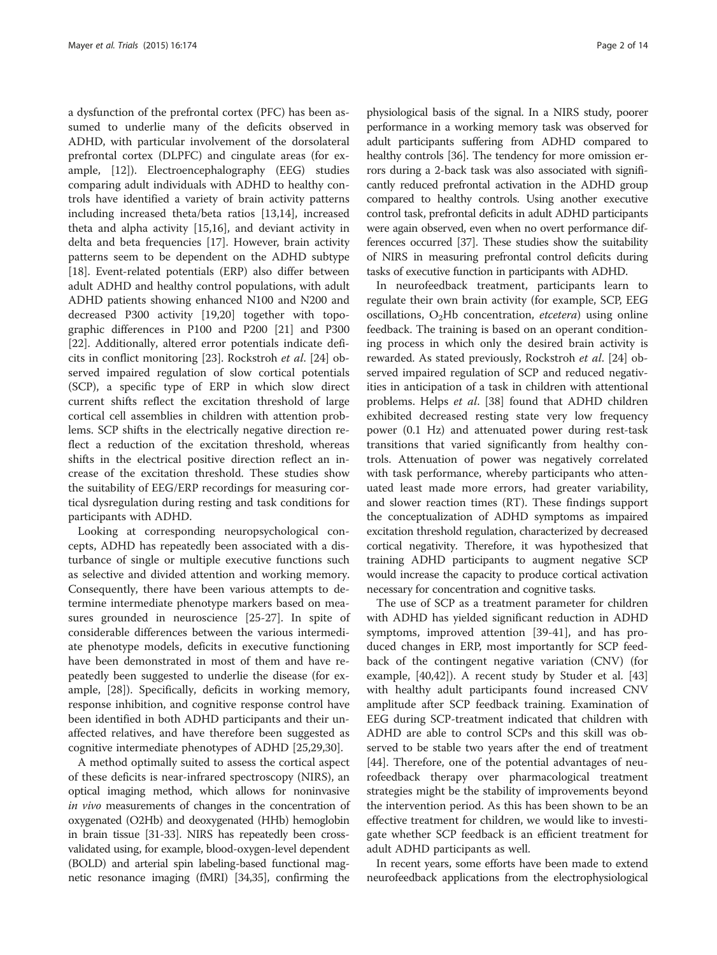a dysfunction of the prefrontal cortex (PFC) has been assumed to underlie many of the deficits observed in ADHD, with particular involvement of the dorsolateral prefrontal cortex (DLPFC) and cingulate areas (for example, [\[12](#page-11-0)]). Electroencephalography (EEG) studies comparing adult individuals with ADHD to healthy controls have identified a variety of brain activity patterns including increased theta/beta ratios [\[13,14\]](#page-11-0), increased theta and alpha activity [[15,](#page-11-0)[16\]](#page-12-0), and deviant activity in delta and beta frequencies [[17](#page-12-0)]. However, brain activity patterns seem to be dependent on the ADHD subtype [[18\]](#page-12-0). Event-related potentials (ERP) also differ between adult ADHD and healthy control populations, with adult ADHD patients showing enhanced N100 and N200 and decreased P300 activity [\[19,20](#page-12-0)] together with topographic differences in P100 and P200 [\[21\]](#page-12-0) and P300 [[22\]](#page-12-0). Additionally, altered error potentials indicate deficits in conflict monitoring [[23\]](#page-12-0). Rockstroh et al. [[24](#page-12-0)] observed impaired regulation of slow cortical potentials (SCP), a specific type of ERP in which slow direct current shifts reflect the excitation threshold of large cortical cell assemblies in children with attention problems. SCP shifts in the electrically negative direction reflect a reduction of the excitation threshold, whereas shifts in the electrical positive direction reflect an increase of the excitation threshold. These studies show the suitability of EEG/ERP recordings for measuring cortical dysregulation during resting and task conditions for participants with ADHD.

Looking at corresponding neuropsychological concepts, ADHD has repeatedly been associated with a disturbance of single or multiple executive functions such as selective and divided attention and working memory. Consequently, there have been various attempts to determine intermediate phenotype markers based on measures grounded in neuroscience [[25-27](#page-12-0)]. In spite of considerable differences between the various intermediate phenotype models, deficits in executive functioning have been demonstrated in most of them and have repeatedly been suggested to underlie the disease (for example, [[28\]](#page-12-0)). Specifically, deficits in working memory, response inhibition, and cognitive response control have been identified in both ADHD participants and their unaffected relatives, and have therefore been suggested as cognitive intermediate phenotypes of ADHD [\[25,29,30\]](#page-12-0).

A method optimally suited to assess the cortical aspect of these deficits is near-infrared spectroscopy (NIRS), an optical imaging method, which allows for noninvasive in vivo measurements of changes in the concentration of oxygenated (O2Hb) and deoxygenated (HHb) hemoglobin in brain tissue [\[31-33\]](#page-12-0). NIRS has repeatedly been crossvalidated using, for example, blood-oxygen-level dependent (BOLD) and arterial spin labeling-based functional magnetic resonance imaging (fMRI) [[34,35\]](#page-12-0), confirming the

physiological basis of the signal. In a NIRS study, poorer performance in a working memory task was observed for adult participants suffering from ADHD compared to healthy controls [[36](#page-12-0)]. The tendency for more omission errors during a 2-back task was also associated with significantly reduced prefrontal activation in the ADHD group compared to healthy controls. Using another executive control task, prefrontal deficits in adult ADHD participants were again observed, even when no overt performance differences occurred [[37](#page-12-0)]. These studies show the suitability of NIRS in measuring prefrontal control deficits during tasks of executive function in participants with ADHD.

In neurofeedback treatment, participants learn to regulate their own brain activity (for example, SCP, EEG oscillations,  $O<sub>2</sub>Hb$  concentration, *etcetera*) using online feedback. The training is based on an operant conditioning process in which only the desired brain activity is rewarded. As stated previously, Rockstroh et al. [[24](#page-12-0)] observed impaired regulation of SCP and reduced negativities in anticipation of a task in children with attentional problems. Helps et al. [\[38\]](#page-12-0) found that ADHD children exhibited decreased resting state very low frequency power (0.1 Hz) and attenuated power during rest-task transitions that varied significantly from healthy controls. Attenuation of power was negatively correlated with task performance, whereby participants who attenuated least made more errors, had greater variability, and slower reaction times (RT). These findings support the conceptualization of ADHD symptoms as impaired excitation threshold regulation, characterized by decreased cortical negativity. Therefore, it was hypothesized that training ADHD participants to augment negative SCP would increase the capacity to produce cortical activation necessary for concentration and cognitive tasks.

The use of SCP as a treatment parameter for children with ADHD has yielded significant reduction in ADHD symptoms, improved attention [[39-41](#page-12-0)], and has produced changes in ERP, most importantly for SCP feedback of the contingent negative variation (CNV) (for example, [\[40,42](#page-12-0)]). A recent study by Studer et al. [[43](#page-12-0)] with healthy adult participants found increased CNV amplitude after SCP feedback training. Examination of EEG during SCP-treatment indicated that children with ADHD are able to control SCPs and this skill was observed to be stable two years after the end of treatment [[44\]](#page-12-0). Therefore, one of the potential advantages of neurofeedback therapy over pharmacological treatment strategies might be the stability of improvements beyond the intervention period. As this has been shown to be an effective treatment for children, we would like to investigate whether SCP feedback is an efficient treatment for adult ADHD participants as well.

In recent years, some efforts have been made to extend neurofeedback applications from the electrophysiological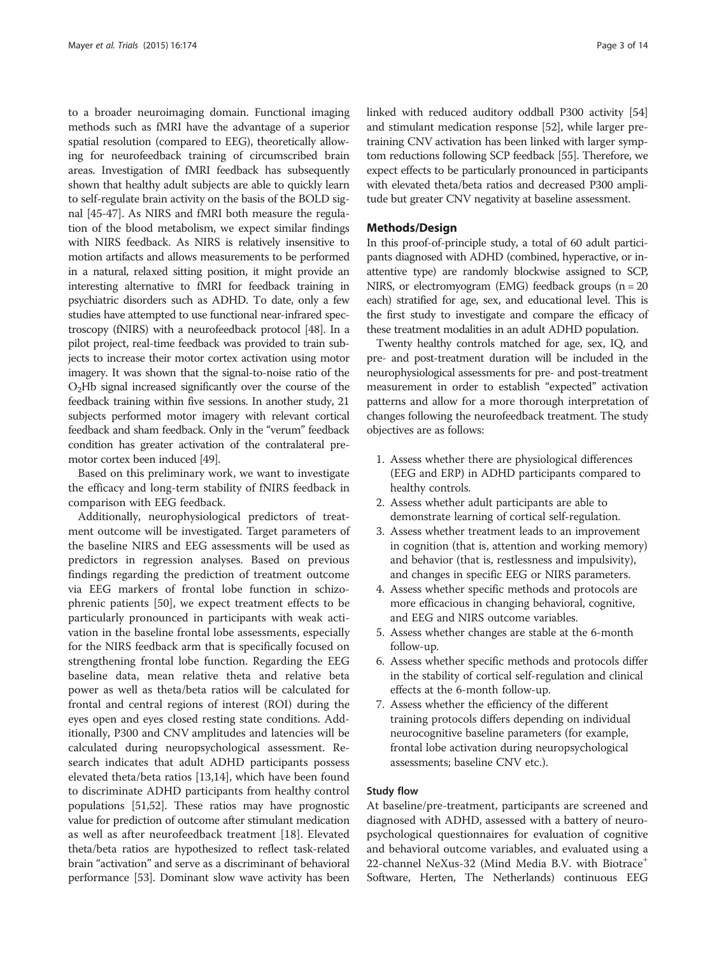to a broader neuroimaging domain. Functional imaging methods such as fMRI have the advantage of a superior spatial resolution (compared to EEG), theoretically allowing for neurofeedback training of circumscribed brain areas. Investigation of fMRI feedback has subsequently shown that healthy adult subjects are able to quickly learn to self-regulate brain activity on the basis of the BOLD signal [\[45-47\]](#page-12-0). As NIRS and fMRI both measure the regulation of the blood metabolism, we expect similar findings with NIRS feedback. As NIRS is relatively insensitive to motion artifacts and allows measurements to be performed in a natural, relaxed sitting position, it might provide an interesting alternative to fMRI for feedback training in psychiatric disorders such as ADHD. To date, only a few studies have attempted to use functional near-infrared spectroscopy (fNIRS) with a neurofeedback protocol [\[48\]](#page-12-0). In a pilot project, real-time feedback was provided to train subjects to increase their motor cortex activation using motor imagery. It was shown that the signal-to-noise ratio of the  $O<sub>2</sub>$ Hb signal increased significantly over the course of the feedback training within five sessions. In another study, 21 subjects performed motor imagery with relevant cortical feedback and sham feedback. Only in the "verum" feedback condition has greater activation of the contralateral premotor cortex been induced [[49](#page-12-0)].

Based on this preliminary work, we want to investigate the efficacy and long-term stability of fNIRS feedback in comparison with EEG feedback.

Additionally, neurophysiological predictors of treatment outcome will be investigated. Target parameters of the baseline NIRS and EEG assessments will be used as predictors in regression analyses. Based on previous findings regarding the prediction of treatment outcome via EEG markers of frontal lobe function in schizophrenic patients [[50\]](#page-12-0), we expect treatment effects to be particularly pronounced in participants with weak activation in the baseline frontal lobe assessments, especially for the NIRS feedback arm that is specifically focused on strengthening frontal lobe function. Regarding the EEG baseline data, mean relative theta and relative beta power as well as theta/beta ratios will be calculated for frontal and central regions of interest (ROI) during the eyes open and eyes closed resting state conditions. Additionally, P300 and CNV amplitudes and latencies will be calculated during neuropsychological assessment. Research indicates that adult ADHD participants possess elevated theta/beta ratios [[13](#page-11-0),[14](#page-11-0)], which have been found to discriminate ADHD participants from healthy control populations [\[51,52\]](#page-12-0). These ratios may have prognostic value for prediction of outcome after stimulant medication as well as after neurofeedback treatment [\[18](#page-12-0)]. Elevated theta/beta ratios are hypothesized to reflect task-related brain "activation" and serve as a discriminant of behavioral performance [\[53\]](#page-12-0). Dominant slow wave activity has been linked with reduced auditory oddball P300 activity [[54](#page-12-0)] and stimulant medication response [\[52\]](#page-12-0), while larger pretraining CNV activation has been linked with larger symptom reductions following SCP feedback [[55](#page-12-0)]. Therefore, we expect effects to be particularly pronounced in participants with elevated theta/beta ratios and decreased P300 amplitude but greater CNV negativity at baseline assessment.

# Methods/Design

In this proof-of-principle study, a total of 60 adult participants diagnosed with ADHD (combined, hyperactive, or inattentive type) are randomly blockwise assigned to SCP, NIRS, or electromyogram (EMG) feedback groups  $(n = 20$ each) stratified for age, sex, and educational level. This is the first study to investigate and compare the efficacy of these treatment modalities in an adult ADHD population.

Twenty healthy controls matched for age, sex, IQ, and pre- and post-treatment duration will be included in the neurophysiological assessments for pre- and post-treatment measurement in order to establish "expected" activation patterns and allow for a more thorough interpretation of changes following the neurofeedback treatment. The study objectives are as follows:

- 1. Assess whether there are physiological differences (EEG and ERP) in ADHD participants compared to healthy controls.
- 2. Assess whether adult participants are able to demonstrate learning of cortical self-regulation.
- 3. Assess whether treatment leads to an improvement in cognition (that is, attention and working memory) and behavior (that is, restlessness and impulsivity), and changes in specific EEG or NIRS parameters.
- 4. Assess whether specific methods and protocols are more efficacious in changing behavioral, cognitive, and EEG and NIRS outcome variables.
- 5. Assess whether changes are stable at the 6-month follow-up.
- 6. Assess whether specific methods and protocols differ in the stability of cortical self-regulation and clinical effects at the 6-month follow-up.
- 7. Assess whether the efficiency of the different training protocols differs depending on individual neurocognitive baseline parameters (for example, frontal lobe activation during neuropsychological assessments; baseline CNV etc.).

#### Study flow

At baseline/pre-treatment, participants are screened and diagnosed with ADHD, assessed with a battery of neuropsychological questionnaires for evaluation of cognitive and behavioral outcome variables, and evaluated using a 22-channel NeXus-32 (Mind Media B.V. with Biotrace<sup>+</sup> Software, Herten, The Netherlands) continuous EEG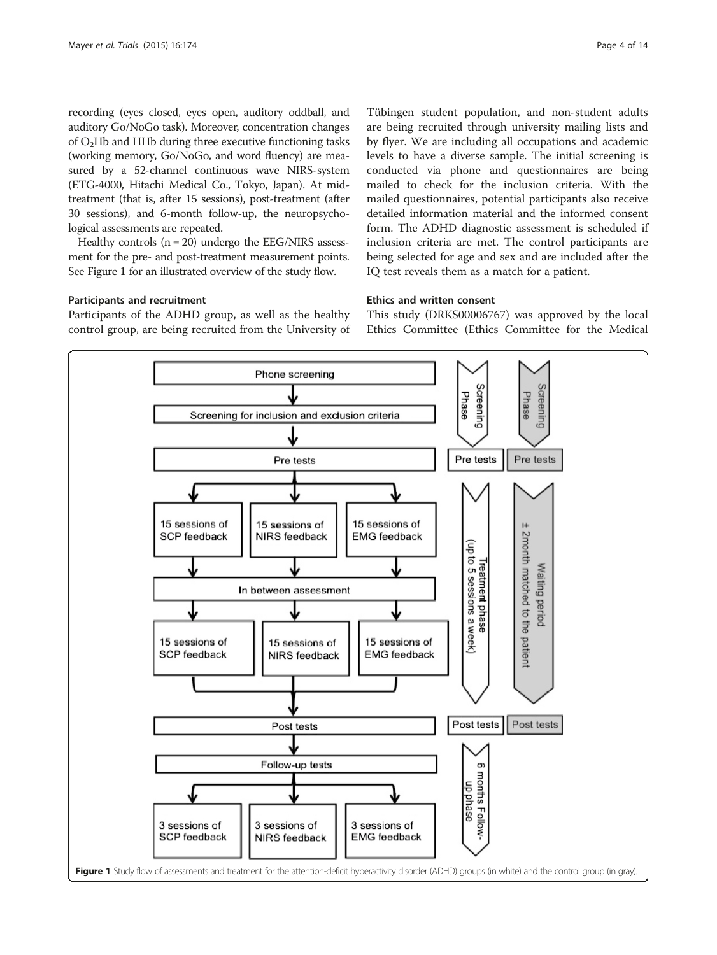recording (eyes closed, eyes open, auditory oddball, and auditory Go/NoGo task). Moreover, concentration changes of O2Hb and HHb during three executive functioning tasks (working memory, Go/NoGo, and word fluency) are measured by a 52-channel continuous wave NIRS-system (ETG-4000, Hitachi Medical Co., Tokyo, Japan). At midtreatment (that is, after 15 sessions), post-treatment (after 30 sessions), and 6-month follow-up, the neuropsychological assessments are repeated.

Healthy controls  $(n = 20)$  undergo the EEG/NIRS assessment for the pre- and post-treatment measurement points. See Figure 1 for an illustrated overview of the study flow.

# Participants and recruitment

Participants of the ADHD group, as well as the healthy control group, are being recruited from the University of

Tübingen student population, and non-student adults are being recruited through university mailing lists and by flyer. We are including all occupations and academic levels to have a diverse sample. The initial screening is conducted via phone and questionnaires are being mailed to check for the inclusion criteria. With the mailed questionnaires, potential participants also receive detailed information material and the informed consent form. The ADHD diagnostic assessment is scheduled if inclusion criteria are met. The control participants are being selected for age and sex and are included after the IQ test reveals them as a match for a patient.

# Ethics and written consent

This study (DRKS00006767) was approved by the local Ethics Committee (Ethics Committee for the Medical

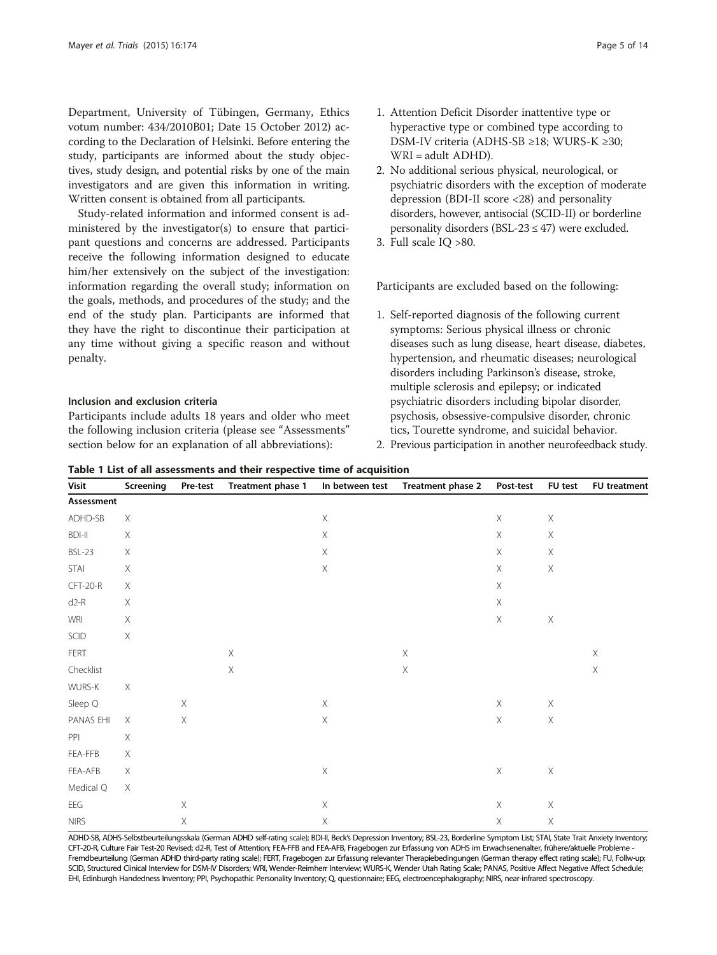<span id="page-4-0"></span>Department, University of Tübingen, Germany, Ethics votum number: 434/2010B01; Date 15 October 2012) according to the Declaration of Helsinki. Before entering the study, participants are informed about the study objectives, study design, and potential risks by one of the main investigators and are given this information in writing. Written consent is obtained from all participants.

Study-related information and informed consent is administered by the investigator(s) to ensure that participant questions and concerns are addressed. Participants receive the following information designed to educate him/her extensively on the subject of the investigation: information regarding the overall study; information on the goals, methods, and procedures of the study; and the end of the study plan. Participants are informed that they have the right to discontinue their participation at any time without giving a specific reason and without penalty.

# Inclusion and exclusion criteria

Participants include adults 18 years and older who meet the following inclusion criteria (please see "Assessments" section below for an explanation of all abbreviations):

- 1. Attention Deficit Disorder inattentive type or hyperactive type or combined type according to DSM-IV criteria (ADHS-SB ≥18; WURS-K ≥30; WRI = adult ADHD).
- 2. No additional serious physical, neurological, or psychiatric disorders with the exception of moderate depression (BDI-II score <28) and personality disorders, however, antisocial (SCID-II) or borderline personality disorders (BSL-23 ≤ 47) were excluded.
- 3. Full scale IQ >80.

Participants are excluded based on the following:

- 1. Self-reported diagnosis of the following current symptoms: Serious physical illness or chronic diseases such as lung disease, heart disease, diabetes, hypertension, and rheumatic diseases; neurological disorders including Parkinson's disease, stroke, multiple sclerosis and epilepsy; or indicated psychiatric disorders including bipolar disorder, psychosis, obsessive-compulsive disorder, chronic tics, Tourette syndrome, and suicidal behavior.
- 2. Previous participation in another neurofeedback study.

| <b>Visit</b>          | Screening   | Pre-test    |             |             | Treatment phase 1 In between test Treatment phase 2 | Post-test   | FU test     | FU treatment |
|-----------------------|-------------|-------------|-------------|-------------|-----------------------------------------------------|-------------|-------------|--------------|
| Assessment            |             |             |             |             |                                                     |             |             |              |
| ADHD-SB               | $\times$    |             |             | $\mathsf X$ |                                                     | Χ           | $\mathsf X$ |              |
| $BDI-II$              | X           |             |             | $\mathsf X$ |                                                     | $\mathsf X$ | X           |              |
| BSL-23                | $\mathsf X$ |             |             | $\mathsf X$ |                                                     | $\mathsf X$ | $\mathsf X$ |              |
| STAI                  | $\mathsf X$ |             |             | $\mathsf X$ |                                                     | $\mathsf X$ | $\mathsf X$ |              |
| $CFT-20-R$            | Χ           |             |             |             |                                                     | $\mathsf X$ |             |              |
| $d2-R$                | Χ           |             |             |             |                                                     | $\mathsf X$ |             |              |
| WRI                   | $\mathsf X$ |             |             |             |                                                     | $\mathsf X$ | $\mathsf X$ |              |
| SCID                  | Χ           |             |             |             |                                                     |             |             |              |
| FERT                  |             |             | $\mathsf X$ |             | $\mathsf X$                                         |             |             | $\mathsf X$  |
| Checklist             |             |             | $\mathsf X$ |             | $\mathsf X$                                         |             |             | $\mathsf X$  |
| WURS-K                | $\mathsf X$ |             |             |             |                                                     |             |             |              |
| Sleep Q               |             | $\mathsf X$ |             | $\mathsf X$ |                                                     | $\mathsf X$ | Χ           |              |
| PANAS EHI             | $\times$    | X           |             | $\mathsf X$ |                                                     | $\mathsf X$ | $\mathsf X$ |              |
| PPI                   | Χ           |             |             |             |                                                     |             |             |              |
| FEA-FFB               | Χ           |             |             |             |                                                     |             |             |              |
| FEA-AFB               | $\times$    |             |             | $\mathsf X$ |                                                     | $\mathsf X$ | $\mathsf X$ |              |
| Medical Q             | $\mathsf X$ |             |             |             |                                                     |             |             |              |
| $\mathsf{EEG}\xspace$ |             | $\mathsf X$ |             | Χ           |                                                     | $\mathsf X$ | $\mathsf X$ |              |
| <b>NIRS</b>           |             | $\mathsf X$ |             | $\mathsf X$ |                                                     | $\mathsf X$ | $\mathsf X$ |              |

Table 1 List of all assessments and their respective time of acquisition

ADHD-SB, ADHS-Selbstbeurteilungsskala (German ADHD self-rating scale); BDI-II, Beck's Depression Inventory; BSL-23, Borderline Symptom List; STAI, State Trait Anxiety Inventory; CFT-20-R, Culture Fair Test-20 Revised; d2-R, Test of Attention; FEA-FFB and FEA-AFB, Fragebogen zur Erfassung von ADHS im Erwachsenenalter, frühere/aktuelle Probleme - Fremdbeurteilung (German ADHD third-party rating scale); FERT, Fragebogen zur Erfassung relevanter Therapiebedingungen (German therapy effect rating scale); FU, Follw-up; SCID, Structured Clinical Interview for DSM-IV Disorders; WRI, Wender-Reimherr Interview; WURS-K, Wender Utah Rating Scale; PANAS, Positive Affect Negative Affect Schedule; EHI, Edinburgh Handedness Inventory; PPI, Psychopathic Personality Inventory; Q, questionnaire; EEG, electroencephalography; NIRS, near-infrared spectroscopy.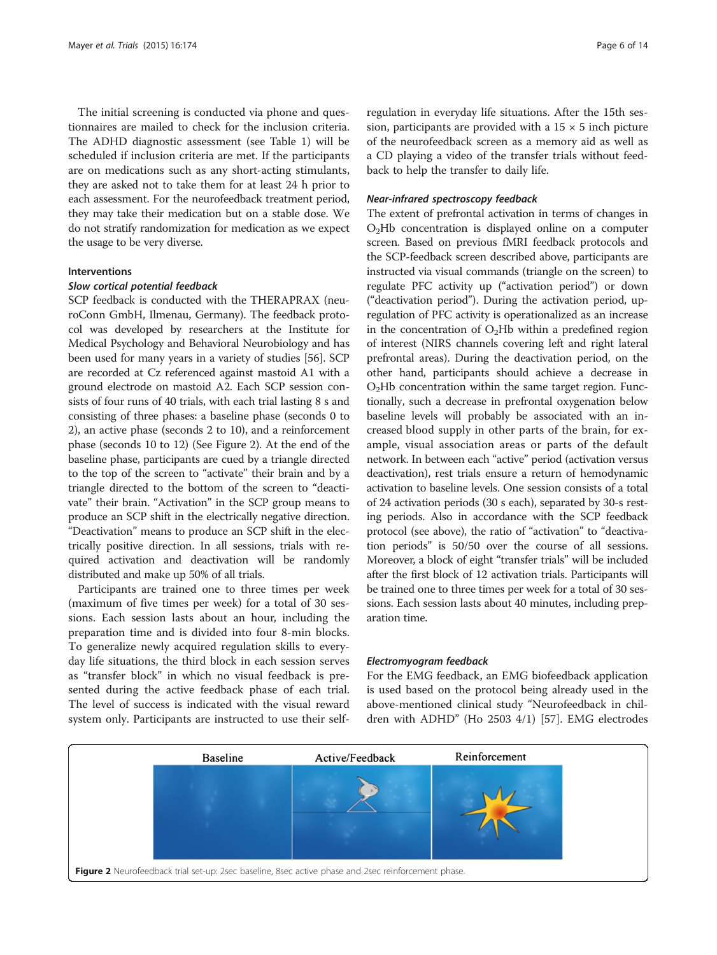The initial screening is conducted via phone and questionnaires are mailed to check for the inclusion criteria. The ADHD diagnostic assessment (see Table [1](#page-4-0)) will be scheduled if inclusion criteria are met. If the participants are on medications such as any short-acting stimulants, they are asked not to take them for at least 24 h prior to each assessment. For the neurofeedback treatment period, they may take their medication but on a stable dose. We do not stratify randomization for medication as we expect the usage to be very diverse.

#### Interventions

#### Slow cortical potential feedback

SCP feedback is conducted with the THERAPRAX (neuroConn GmbH, Ilmenau, Germany). The feedback protocol was developed by researchers at the Institute for Medical Psychology and Behavioral Neurobiology and has been used for many years in a variety of studies [[56](#page-12-0)]. SCP are recorded at Cz referenced against mastoid A1 with a ground electrode on mastoid A2. Each SCP session consists of four runs of 40 trials, with each trial lasting 8 s and consisting of three phases: a baseline phase (seconds 0 to 2), an active phase (seconds 2 to 10), and a reinforcement phase (seconds 10 to 12) (See Figure 2). At the end of the baseline phase, participants are cued by a triangle directed to the top of the screen to "activate" their brain and by a triangle directed to the bottom of the screen to "deactivate" their brain. "Activation" in the SCP group means to produce an SCP shift in the electrically negative direction. "Deactivation" means to produce an SCP shift in the electrically positive direction. In all sessions, trials with required activation and deactivation will be randomly distributed and make up 50% of all trials.

Participants are trained one to three times per week (maximum of five times per week) for a total of 30 sessions. Each session lasts about an hour, including the preparation time and is divided into four 8-min blocks. To generalize newly acquired regulation skills to everyday life situations, the third block in each session serves as "transfer block" in which no visual feedback is presented during the active feedback phase of each trial. The level of success is indicated with the visual reward system only. Participants are instructed to use their self-

regulation in everyday life situations. After the 15th session, participants are provided with a  $15 \times 5$  inch picture of the neurofeedback screen as a memory aid as well as a CD playing a video of the transfer trials without feedback to help the transfer to daily life.

#### Near-infrared spectroscopy feedback

The extent of prefrontal activation in terms of changes in  $O<sub>2</sub>$ Hb concentration is displayed online on a computer screen. Based on previous fMRI feedback protocols and the SCP-feedback screen described above, participants are instructed via visual commands (triangle on the screen) to regulate PFC activity up ("activation period") or down ("deactivation period"). During the activation period, upregulation of PFC activity is operationalized as an increase in the concentration of  $O_2Hb$  within a predefined region of interest (NIRS channels covering left and right lateral prefrontal areas). During the deactivation period, on the other hand, participants should achieve a decrease in  $O<sub>2</sub>Hb$  concentration within the same target region. Functionally, such a decrease in prefrontal oxygenation below baseline levels will probably be associated with an increased blood supply in other parts of the brain, for example, visual association areas or parts of the default network. In between each "active" period (activation versus deactivation), rest trials ensure a return of hemodynamic activation to baseline levels. One session consists of a total of 24 activation periods (30 s each), separated by 30-s resting periods. Also in accordance with the SCP feedback protocol (see above), the ratio of "activation" to "deactivation periods" is 50/50 over the course of all sessions. Moreover, a block of eight "transfer trials" will be included after the first block of 12 activation trials. Participants will be trained one to three times per week for a total of 30 sessions. Each session lasts about 40 minutes, including preparation time.

#### Electromyogram feedback

For the EMG feedback, an EMG biofeedback application is used based on the protocol being already used in the above-mentioned clinical study "Neurofeedback in children with ADHD" (Ho 2503 4/1) [\[57](#page-12-0)]. EMG electrodes

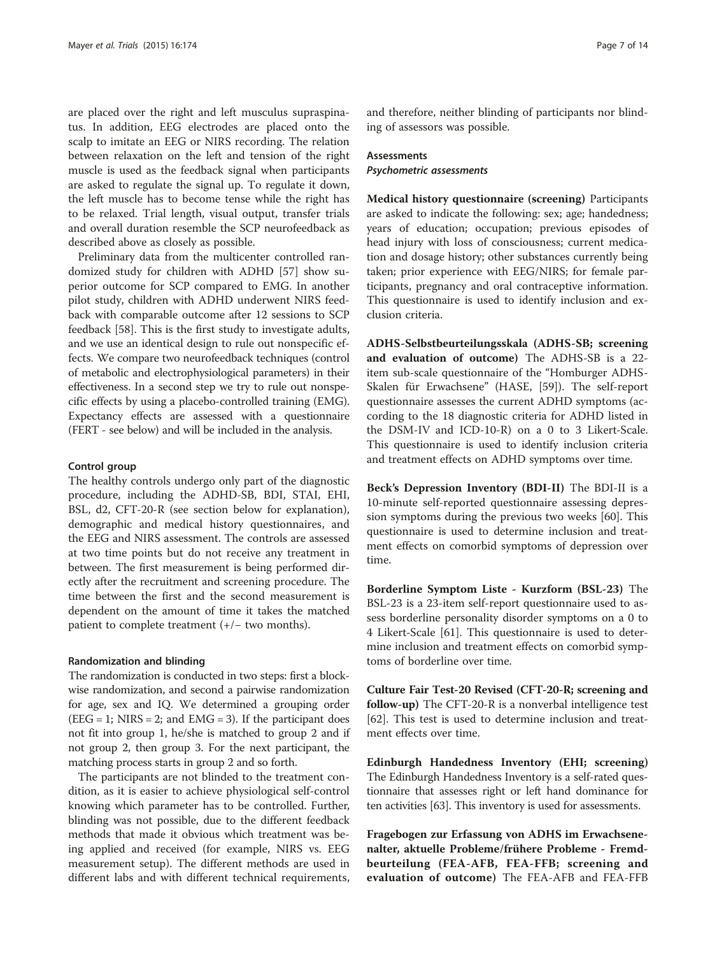are placed over the right and left musculus supraspinatus. In addition, EEG electrodes are placed onto the scalp to imitate an EEG or NIRS recording. The relation between relaxation on the left and tension of the right muscle is used as the feedback signal when participants are asked to regulate the signal up. To regulate it down, the left muscle has to become tense while the right has to be relaxed. Trial length, visual output, transfer trials and overall duration resemble the SCP neurofeedback as described above as closely as possible.

Preliminary data from the multicenter controlled randomized study for children with ADHD [\[57\]](#page-12-0) show superior outcome for SCP compared to EMG. In another pilot study, children with ADHD underwent NIRS feedback with comparable outcome after 12 sessions to SCP feedback [\[58](#page-12-0)]. This is the first study to investigate adults, and we use an identical design to rule out nonspecific effects. We compare two neurofeedback techniques (control of metabolic and electrophysiological parameters) in their effectiveness. In a second step we try to rule out nonspecific effects by using a placebo-controlled training (EMG). Expectancy effects are assessed with a questionnaire (FERT - see below) and will be included in the analysis.

# Control group

The healthy controls undergo only part of the diagnostic procedure, including the ADHD-SB, BDI, STAI, EHI, BSL, d2, CFT-20-R (see section below for explanation), demographic and medical history questionnaires, and the EEG and NIRS assessment. The controls are assessed at two time points but do not receive any treatment in between. The first measurement is being performed directly after the recruitment and screening procedure. The time between the first and the second measurement is dependent on the amount of time it takes the matched patient to complete treatment (+/− two months).

# Randomization and blinding

The randomization is conducted in two steps: first a blockwise randomization, and second a pairwise randomization for age, sex and IQ. We determined a grouping order  $(EEG = 1; NIRS = 2; and EMG = 3).$  If the participant does not fit into group 1, he/she is matched to group 2 and if not group 2, then group 3. For the next participant, the matching process starts in group 2 and so forth.

The participants are not blinded to the treatment condition, as it is easier to achieve physiological self-control knowing which parameter has to be controlled. Further, blinding was not possible, due to the different feedback methods that made it obvious which treatment was being applied and received (for example, NIRS vs. EEG measurement setup). The different methods are used in different labs and with different technical requirements,

and therefore, neither blinding of participants nor blinding of assessors was possible.

# Assessments

# Psychometric assessments

Medical history questionnaire (screening) Participants are asked to indicate the following: sex; age; handedness; years of education; occupation; previous episodes of head injury with loss of consciousness; current medication and dosage history; other substances currently being taken; prior experience with EEG/NIRS; for female participants, pregnancy and oral contraceptive information. This questionnaire is used to identify inclusion and exclusion criteria.

ADHS-Selbstbeurteilungsskala (ADHS-SB; screening and evaluation of outcome) The ADHS-SB is a 22 item sub-scale questionnaire of the "Homburger ADHS-Skalen für Erwachsene" (HASE, [[59\]](#page-12-0)). The self-report questionnaire assesses the current ADHD symptoms (according to the 18 diagnostic criteria for ADHD listed in the DSM-IV and ICD-10-R) on a 0 to 3 Likert-Scale. This questionnaire is used to identify inclusion criteria and treatment effects on ADHD symptoms over time.

Beck's Depression Inventory (BDI-II) The BDI-II is a 10-minute self-reported questionnaire assessing depression symptoms during the previous two weeks [\[60](#page-12-0)]. This questionnaire is used to determine inclusion and treatment effects on comorbid symptoms of depression over time.

Borderline Symptom Liste - Kurzform (BSL-23) The BSL-23 is a 23-item self-report questionnaire used to assess borderline personality disorder symptoms on a 0 to 4 Likert-Scale [[61\]](#page-12-0). This questionnaire is used to determine inclusion and treatment effects on comorbid symptoms of borderline over time.

Culture Fair Test-20 Revised (CFT-20-R; screening and follow-up) The CFT-20-R is a nonverbal intelligence test [[62\]](#page-13-0). This test is used to determine inclusion and treatment effects over time.

Edinburgh Handedness Inventory (EHI; screening) The Edinburgh Handedness Inventory is a self-rated questionnaire that assesses right or left hand dominance for ten activities [\[63\]](#page-13-0). This inventory is used for assessments.

Fragebogen zur Erfassung von ADHS im Erwachsenenalter, aktuelle Probleme/frühere Probleme - Fremdbeurteilung (FEA-AFB, FEA-FFB; screening and evaluation of outcome) The FEA-AFB and FEA-FFB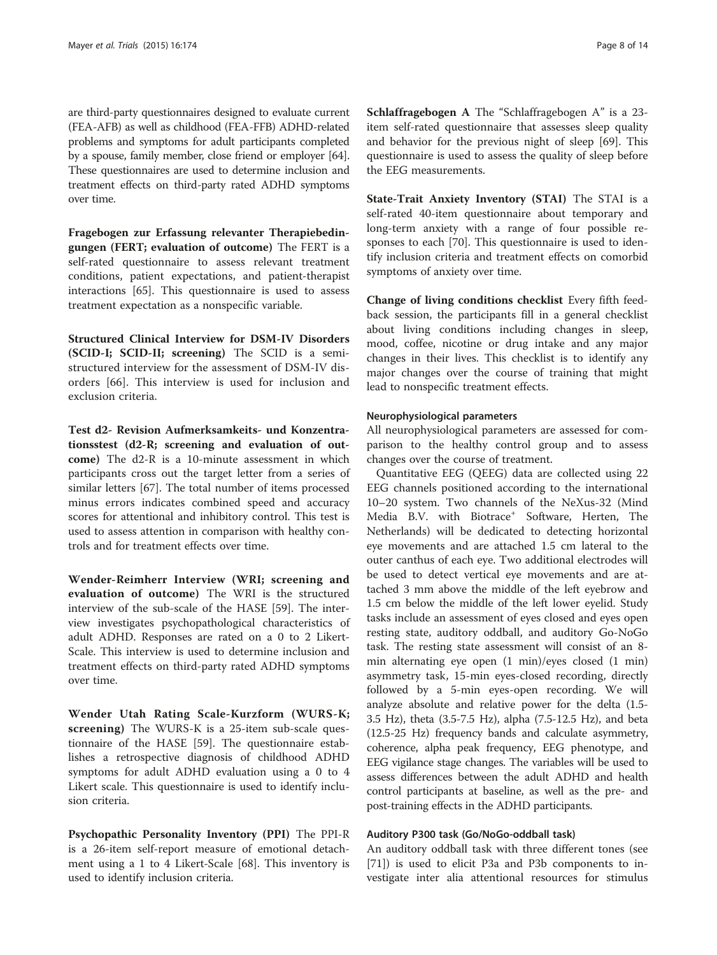are third-party questionnaires designed to evaluate current (FEA-AFB) as well as childhood (FEA-FFB) ADHD-related problems and symptoms for adult participants completed by a spouse, family member, close friend or employer [\[64](#page-13-0)]. These questionnaires are used to determine inclusion and treatment effects on third-party rated ADHD symptoms over time.

Fragebogen zur Erfassung relevanter Therapiebedingungen (FERT; evaluation of outcome) The FERT is a self-rated questionnaire to assess relevant treatment conditions, patient expectations, and patient-therapist interactions [\[65\]](#page-13-0). This questionnaire is used to assess treatment expectation as a nonspecific variable.

Structured Clinical Interview for DSM-IV Disorders (SCID-I; SCID-II; screening) The SCID is a semistructured interview for the assessment of DSM-IV disorders [[66\]](#page-13-0). This interview is used for inclusion and exclusion criteria.

Test d2- Revision Aufmerksamkeits- und Konzentrationsstest (d2-R; screening and evaluation of outcome) The d2-R is a 10-minute assessment in which participants cross out the target letter from a series of similar letters [\[67](#page-13-0)]. The total number of items processed minus errors indicates combined speed and accuracy scores for attentional and inhibitory control. This test is used to assess attention in comparison with healthy controls and for treatment effects over time.

Wender-Reimherr Interview (WRI; screening and evaluation of outcome) The WRI is the structured interview of the sub-scale of the HASE [[59\]](#page-12-0). The interview investigates psychopathological characteristics of adult ADHD. Responses are rated on a 0 to 2 Likert-Scale. This interview is used to determine inclusion and treatment effects on third-party rated ADHD symptoms over time.

Wender Utah Rating Scale-Kurzform (WURS-K; screening) The WURS-K is a 25-item sub-scale questionnaire of the HASE [[59\]](#page-12-0). The questionnaire establishes a retrospective diagnosis of childhood ADHD symptoms for adult ADHD evaluation using a 0 to 4 Likert scale. This questionnaire is used to identify inclusion criteria.

Psychopathic Personality Inventory (PPI) The PPI-R is a 26-item self-report measure of emotional detachment using a 1 to 4 Likert-Scale [[68\]](#page-13-0). This inventory is used to identify inclusion criteria.

Schlaffragebogen A The "Schlaffragebogen A" is a 23 item self-rated questionnaire that assesses sleep quality and behavior for the previous night of sleep [\[69\]](#page-13-0). This questionnaire is used to assess the quality of sleep before the EEG measurements.

State-Trait Anxiety Inventory (STAI) The STAI is a self-rated 40-item questionnaire about temporary and long-term anxiety with a range of four possible responses to each [[70\]](#page-13-0). This questionnaire is used to identify inclusion criteria and treatment effects on comorbid symptoms of anxiety over time.

Change of living conditions checklist Every fifth feedback session, the participants fill in a general checklist about living conditions including changes in sleep, mood, coffee, nicotine or drug intake and any major changes in their lives. This checklist is to identify any major changes over the course of training that might lead to nonspecific treatment effects.

#### Neurophysiological parameters

All neurophysiological parameters are assessed for comparison to the healthy control group and to assess changes over the course of treatment.

Quantitative EEG (QEEG) data are collected using 22 EEG channels positioned according to the international 10–20 system. Two channels of the NeXus-32 (Mind Media B.V. with Biotrace<sup>+</sup> Software, Herten, The Netherlands) will be dedicated to detecting horizontal eye movements and are attached 1.5 cm lateral to the outer canthus of each eye. Two additional electrodes will be used to detect vertical eye movements and are attached 3 mm above the middle of the left eyebrow and 1.5 cm below the middle of the left lower eyelid. Study tasks include an assessment of eyes closed and eyes open resting state, auditory oddball, and auditory Go-NoGo task. The resting state assessment will consist of an 8 min alternating eye open (1 min)/eyes closed (1 min) asymmetry task, 15-min eyes-closed recording, directly followed by a 5-min eyes-open recording. We will analyze absolute and relative power for the delta (1.5- 3.5 Hz), theta (3.5-7.5 Hz), alpha (7.5-12.5 Hz), and beta (12.5-25 Hz) frequency bands and calculate asymmetry, coherence, alpha peak frequency, EEG phenotype, and EEG vigilance stage changes. The variables will be used to assess differences between the adult ADHD and health control participants at baseline, as well as the pre- and post-training effects in the ADHD participants.

# Auditory P300 task (Go/NoGo-oddball task)

An auditory oddball task with three different tones (see [[71\]](#page-13-0)) is used to elicit P3a and P3b components to investigate inter alia attentional resources for stimulus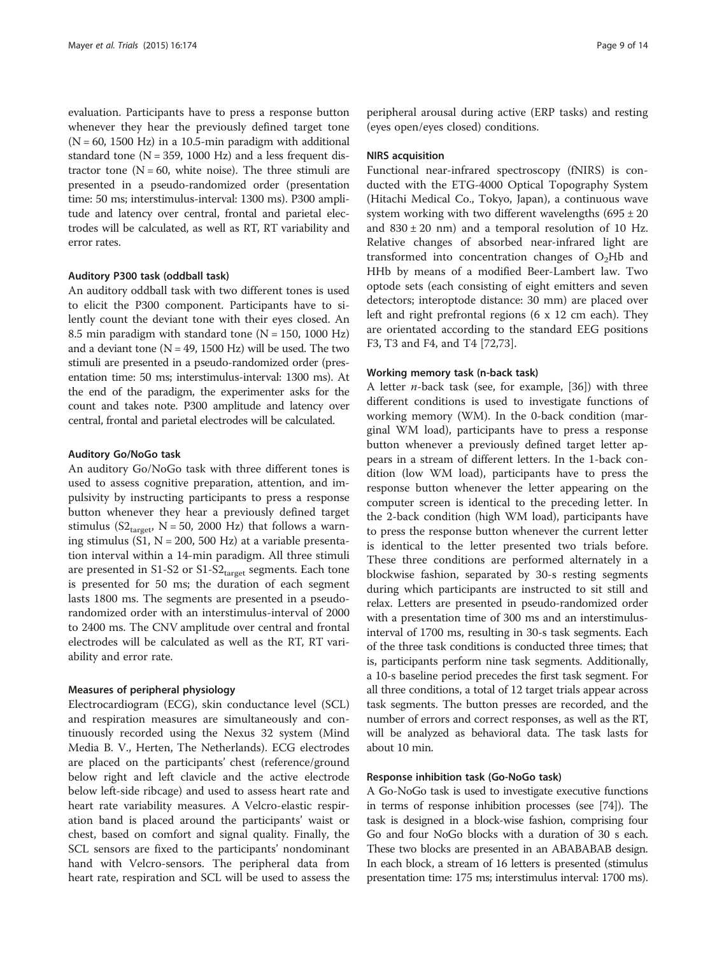evaluation. Participants have to press a response button whenever they hear the previously defined target tone  $(N = 60, 1500 Hz)$  in a 10.5-min paradigm with additional standard tone  $(N = 359, 1000 \text{ Hz})$  and a less frequent distractor tone  $(N = 60$ , white noise). The three stimuli are presented in a pseudo-randomized order (presentation time: 50 ms; interstimulus-interval: 1300 ms). P300 amplitude and latency over central, frontal and parietal electrodes will be calculated, as well as RT, RT variability and error rates.

# Auditory P300 task (oddball task)

An auditory oddball task with two different tones is used to elicit the P300 component. Participants have to silently count the deviant tone with their eyes closed. An 8.5 min paradigm with standard tone ( $N = 150$ , 1000 Hz) and a deviant tone  $(N = 49, 1500 \text{ Hz})$  will be used. The two stimuli are presented in a pseudo-randomized order (presentation time: 50 ms; interstimulus-interval: 1300 ms). At the end of the paradigm, the experimenter asks for the count and takes note. P300 amplitude and latency over central, frontal and parietal electrodes will be calculated.

#### Auditory Go/NoGo task

An auditory Go/NoGo task with three different tones is used to assess cognitive preparation, attention, and impulsivity by instructing participants to press a response button whenever they hear a previously defined target stimulus ( $S2<sub>target</sub>$ , N = 50, 2000 Hz) that follows a warning stimulus (S1,  $N = 200$ , 500 Hz) at a variable presentation interval within a 14-min paradigm. All three stimuli are presented in S1-S2 or S1-S2<sub>target</sub> segments. Each tone is presented for 50 ms; the duration of each segment lasts 1800 ms. The segments are presented in a pseudorandomized order with an interstimulus-interval of 2000 to 2400 ms. The CNV amplitude over central and frontal electrodes will be calculated as well as the RT, RT variability and error rate.

#### Measures of peripheral physiology

Electrocardiogram (ECG), skin conductance level (SCL) and respiration measures are simultaneously and continuously recorded using the Nexus 32 system (Mind Media B. V., Herten, The Netherlands). ECG electrodes are placed on the participants' chest (reference/ground below right and left clavicle and the active electrode below left-side ribcage) and used to assess heart rate and heart rate variability measures. A Velcro-elastic respiration band is placed around the participants' waist or chest, based on comfort and signal quality. Finally, the SCL sensors are fixed to the participants' nondominant hand with Velcro-sensors. The peripheral data from heart rate, respiration and SCL will be used to assess the peripheral arousal during active (ERP tasks) and resting (eyes open/eyes closed) conditions.

#### NIRS acquisition

Functional near-infrared spectroscopy (fNIRS) is conducted with the ETG-4000 Optical Topography System (Hitachi Medical Co., Tokyo, Japan), a continuous wave system working with two different wavelengths  $(695 \pm 20)$ and  $830 \pm 20$  nm) and a temporal resolution of 10 Hz. Relative changes of absorbed near-infrared light are transformed into concentration changes of  $O<sub>2</sub>Hb$  and HHb by means of a modified Beer-Lambert law. Two optode sets (each consisting of eight emitters and seven detectors; interoptode distance: 30 mm) are placed over left and right prefrontal regions (6 x 12 cm each). They are orientated according to the standard EEG positions F3, T3 and F4, and T4 [\[72,73](#page-13-0)].

#### Working memory task (n-back task)

A letter *n*-back task (see, for example,  $[36]$  $[36]$ ) with three different conditions is used to investigate functions of working memory (WM). In the 0-back condition (marginal WM load), participants have to press a response button whenever a previously defined target letter appears in a stream of different letters. In the 1-back condition (low WM load), participants have to press the response button whenever the letter appearing on the computer screen is identical to the preceding letter. In the 2-back condition (high WM load), participants have to press the response button whenever the current letter is identical to the letter presented two trials before. These three conditions are performed alternately in a blockwise fashion, separated by 30-s resting segments during which participants are instructed to sit still and relax. Letters are presented in pseudo-randomized order with a presentation time of 300 ms and an interstimulusinterval of 1700 ms, resulting in 30-s task segments. Each of the three task conditions is conducted three times; that is, participants perform nine task segments. Additionally, a 10-s baseline period precedes the first task segment. For all three conditions, a total of 12 target trials appear across task segments. The button presses are recorded, and the number of errors and correct responses, as well as the RT, will be analyzed as behavioral data. The task lasts for about 10 min.

# Response inhibition task (Go-NoGo task)

A Go-NoGo task is used to investigate executive functions in terms of response inhibition processes (see [\[74](#page-13-0)]). The task is designed in a block-wise fashion, comprising four Go and four NoGo blocks with a duration of 30 s each. These two blocks are presented in an ABABABAB design. In each block, a stream of 16 letters is presented (stimulus presentation time: 175 ms; interstimulus interval: 1700 ms).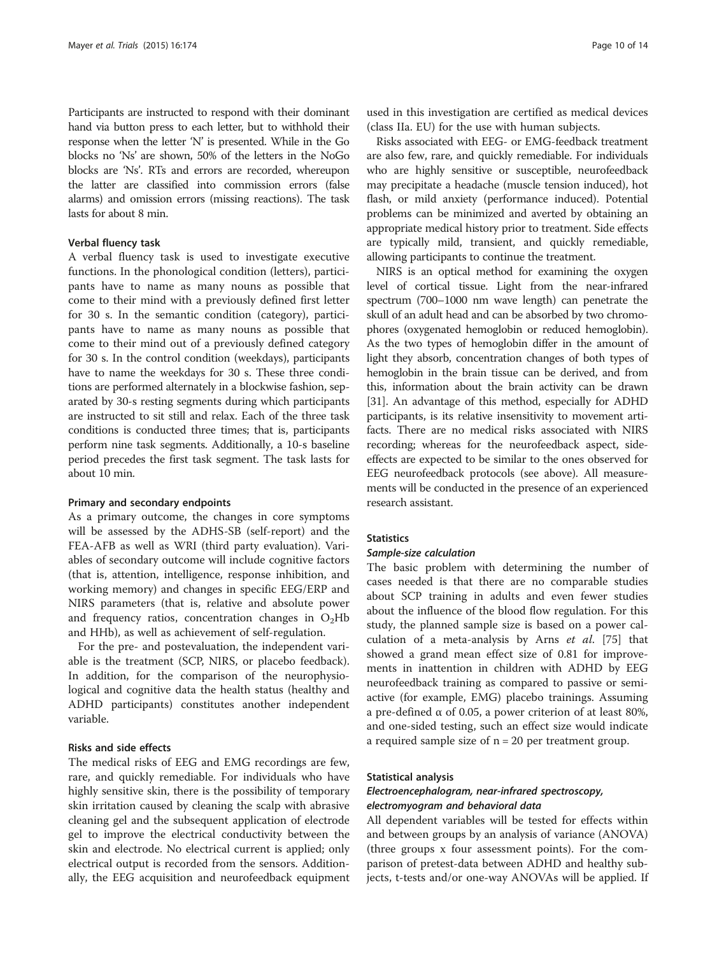Participants are instructed to respond with their dominant hand via button press to each letter, but to withhold their response when the letter 'N' is presented. While in the Go blocks no 'Ns' are shown, 50% of the letters in the NoGo blocks are 'Ns'. RTs and errors are recorded, whereupon the latter are classified into commission errors (false alarms) and omission errors (missing reactions). The task lasts for about 8 min.

# Verbal fluency task

A verbal fluency task is used to investigate executive functions. In the phonological condition (letters), participants have to name as many nouns as possible that come to their mind with a previously defined first letter for 30 s. In the semantic condition (category), participants have to name as many nouns as possible that come to their mind out of a previously defined category for 30 s. In the control condition (weekdays), participants have to name the weekdays for 30 s. These three conditions are performed alternately in a blockwise fashion, separated by 30-s resting segments during which participants are instructed to sit still and relax. Each of the three task conditions is conducted three times; that is, participants perform nine task segments. Additionally, a 10-s baseline period precedes the first task segment. The task lasts for about 10 min.

#### Primary and secondary endpoints

As a primary outcome, the changes in core symptoms will be assessed by the ADHS-SB (self-report) and the FEA-AFB as well as WRI (third party evaluation). Variables of secondary outcome will include cognitive factors (that is, attention, intelligence, response inhibition, and working memory) and changes in specific EEG/ERP and NIRS parameters (that is, relative and absolute power and frequency ratios, concentration changes in  $O<sub>2</sub>Hb$ and HHb), as well as achievement of self-regulation.

For the pre- and postevaluation, the independent variable is the treatment (SCP, NIRS, or placebo feedback). In addition, for the comparison of the neurophysiological and cognitive data the health status (healthy and ADHD participants) constitutes another independent variable.

# Risks and side effects

The medical risks of EEG and EMG recordings are few, rare, and quickly remediable. For individuals who have highly sensitive skin, there is the possibility of temporary skin irritation caused by cleaning the scalp with abrasive cleaning gel and the subsequent application of electrode gel to improve the electrical conductivity between the skin and electrode. No electrical current is applied; only electrical output is recorded from the sensors. Additionally, the EEG acquisition and neurofeedback equipment used in this investigation are certified as medical devices (class IIa. EU) for the use with human subjects.

Risks associated with EEG- or EMG-feedback treatment are also few, rare, and quickly remediable. For individuals who are highly sensitive or susceptible, neurofeedback may precipitate a headache (muscle tension induced), hot flash, or mild anxiety (performance induced). Potential problems can be minimized and averted by obtaining an appropriate medical history prior to treatment. Side effects are typically mild, transient, and quickly remediable, allowing participants to continue the treatment.

NIRS is an optical method for examining the oxygen level of cortical tissue. Light from the near-infrared spectrum (700–1000 nm wave length) can penetrate the skull of an adult head and can be absorbed by two chromophores (oxygenated hemoglobin or reduced hemoglobin). As the two types of hemoglobin differ in the amount of light they absorb, concentration changes of both types of hemoglobin in the brain tissue can be derived, and from this, information about the brain activity can be drawn [[31](#page-12-0)]. An advantage of this method, especially for ADHD participants, is its relative insensitivity to movement artifacts. There are no medical risks associated with NIRS recording; whereas for the neurofeedback aspect, sideeffects are expected to be similar to the ones observed for EEG neurofeedback protocols (see above). All measurements will be conducted in the presence of an experienced research assistant.

# **Statistics**

#### Sample-size calculation

The basic problem with determining the number of cases needed is that there are no comparable studies about SCP training in adults and even fewer studies about the influence of the blood flow regulation. For this study, the planned sample size is based on a power calculation of a meta-analysis by Arns et al. [\[75](#page-13-0)] that showed a grand mean effect size of 0.81 for improvements in inattention in children with ADHD by EEG neurofeedback training as compared to passive or semiactive (for example, EMG) placebo trainings. Assuming a pre-defined α of 0.05, a power criterion of at least 80%, and one-sided testing, such an effect size would indicate a required sample size of  $n = 20$  per treatment group.

#### Statistical analysis

# Electroencephalogram, near-infrared spectroscopy, electromyogram and behavioral data

All dependent variables will be tested for effects within and between groups by an analysis of variance (ANOVA) (three groups x four assessment points). For the comparison of pretest-data between ADHD and healthy subjects, t-tests and/or one-way ANOVAs will be applied. If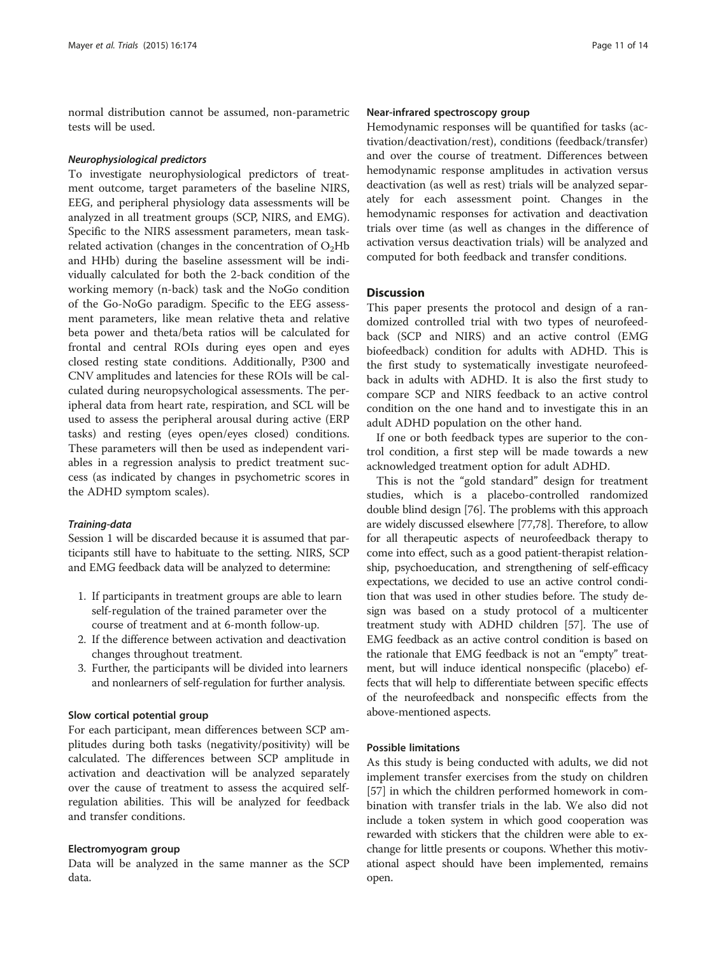normal distribution cannot be assumed, non-parametric tests will be used.

#### Neurophysiological predictors

To investigate neurophysiological predictors of treatment outcome, target parameters of the baseline NIRS, EEG, and peripheral physiology data assessments will be analyzed in all treatment groups (SCP, NIRS, and EMG). Specific to the NIRS assessment parameters, mean taskrelated activation (changes in the concentration of  $O_2Hb$ and HHb) during the baseline assessment will be individually calculated for both the 2-back condition of the working memory (n-back) task and the NoGo condition of the Go-NoGo paradigm. Specific to the EEG assessment parameters, like mean relative theta and relative beta power and theta/beta ratios will be calculated for frontal and central ROIs during eyes open and eyes closed resting state conditions. Additionally, P300 and CNV amplitudes and latencies for these ROIs will be calculated during neuropsychological assessments. The peripheral data from heart rate, respiration, and SCL will be used to assess the peripheral arousal during active (ERP tasks) and resting (eyes open/eyes closed) conditions. These parameters will then be used as independent variables in a regression analysis to predict treatment success (as indicated by changes in psychometric scores in the ADHD symptom scales).

#### Training-data

Session 1 will be discarded because it is assumed that participants still have to habituate to the setting. NIRS, SCP and EMG feedback data will be analyzed to determine:

- 1. If participants in treatment groups are able to learn self-regulation of the trained parameter over the course of treatment and at 6-month follow-up.
- 2. If the difference between activation and deactivation changes throughout treatment.
- 3. Further, the participants will be divided into learners and nonlearners of self-regulation for further analysis.

# Slow cortical potential group

For each participant, mean differences between SCP amplitudes during both tasks (negativity/positivity) will be calculated. The differences between SCP amplitude in activation and deactivation will be analyzed separately over the cause of treatment to assess the acquired selfregulation abilities. This will be analyzed for feedback and transfer conditions.

#### Electromyogram group

Data will be analyzed in the same manner as the SCP data.

#### Near-infrared spectroscopy group

Hemodynamic responses will be quantified for tasks (activation/deactivation/rest), conditions (feedback/transfer) and over the course of treatment. Differences between hemodynamic response amplitudes in activation versus deactivation (as well as rest) trials will be analyzed separately for each assessment point. Changes in the hemodynamic responses for activation and deactivation trials over time (as well as changes in the difference of activation versus deactivation trials) will be analyzed and computed for both feedback and transfer conditions.

#### **Discussion**

This paper presents the protocol and design of a randomized controlled trial with two types of neurofeedback (SCP and NIRS) and an active control (EMG biofeedback) condition for adults with ADHD. This is the first study to systematically investigate neurofeedback in adults with ADHD. It is also the first study to compare SCP and NIRS feedback to an active control condition on the one hand and to investigate this in an adult ADHD population on the other hand.

If one or both feedback types are superior to the control condition, a first step will be made towards a new acknowledged treatment option for adult ADHD.

This is not the "gold standard" design for treatment studies, which is a placebo-controlled randomized double blind design [[76](#page-13-0)]. The problems with this approach are widely discussed elsewhere [\[77,78](#page-13-0)]. Therefore, to allow for all therapeutic aspects of neurofeedback therapy to come into effect, such as a good patient-therapist relationship, psychoeducation, and strengthening of self-efficacy expectations, we decided to use an active control condition that was used in other studies before. The study design was based on a study protocol of a multicenter treatment study with ADHD children [\[57\]](#page-12-0). The use of EMG feedback as an active control condition is based on the rationale that EMG feedback is not an "empty" treatment, but will induce identical nonspecific (placebo) effects that will help to differentiate between specific effects of the neurofeedback and nonspecific effects from the above-mentioned aspects.

#### Possible limitations

As this study is being conducted with adults, we did not implement transfer exercises from the study on children [[57\]](#page-12-0) in which the children performed homework in combination with transfer trials in the lab. We also did not include a token system in which good cooperation was rewarded with stickers that the children were able to exchange for little presents or coupons. Whether this motivational aspect should have been implemented, remains open.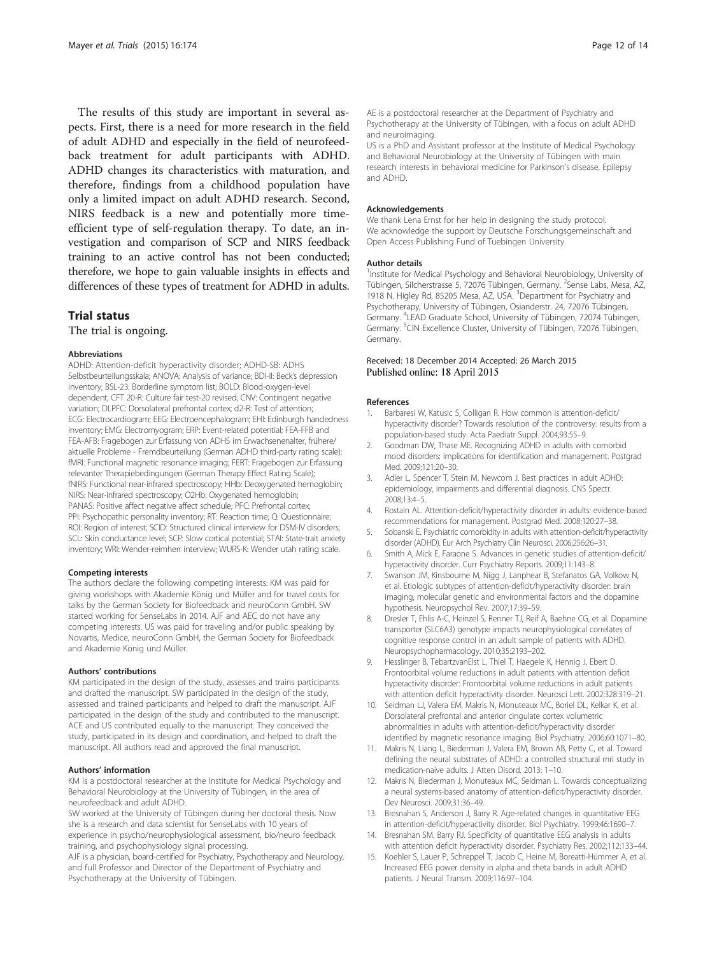<span id="page-11-0"></span>The results of this study are important in several aspects. First, there is a need for more research in the field of adult ADHD and especially in the field of neurofeedback treatment for adult participants with ADHD. ADHD changes its characteristics with maturation, and therefore, findings from a childhood population have only a limited impact on adult ADHD research. Second, NIRS feedback is a new and potentially more timeefficient type of self-regulation therapy. To date, an investigation and comparison of SCP and NIRS feedback training to an active control has not been conducted; therefore, we hope to gain valuable insights in effects and differences of these types of treatment for ADHD in adults.

# Trial status

The trial is ongoing.

#### Abbreviations

ADHD: Attention-deficit hyperactivity disorder; ADHD-SB: ADHS Selbstbeurteilungsskala; ANOVA: Analysis of variance; BDI-II: Beck's depression inventory; BSL-23: Borderline symptom list; BOLD: Blood-oxygen-level dependent; CFT 20-R: Culture fair test-20 revised; CNV: Contingent negative variation; DLPFC: Dorsolateral prefrontal cortex; d2-R: Test of attention; ECG: Electrocardiogram; EEG: Electroencephalogram; EHI: Edinburgh handedness inventory; EMG: Electromyogram; ERP: Event-related potential; FEA-FFB and FEA-AFB: Fragebogen zur Erfassung von ADHS im Erwachsenenalter, frühere/ aktuelle Probleme - Fremdbeurteilung (German ADHD third-party rating scale); fMRI: Functional magnetic resonance imaging; FERT: Fragebogen zur Erfassung relevanter Therapiebedingungen (German Therapy Effect Rating Scale); fNIRS: Functional near-infrared spectroscopy; HHb: Deoxygenated hemoglobin; NIRS: Near-infrared spectroscopy; O2Hb: Oxygenated hemoglobin; PANAS: Positive affect negative affect schedule; PFC: Prefrontal cortex; PPI: Psychopathic personality inventory; RT: Reaction time; Q: Questionnaire; ROI: Region of interest; SCID: Structured clinical interview for DSM-IV disorders; SCL: Skin conductance level; SCP: Slow cortical potential; STAI: State-trait anxiety inventory; WRI: Wender-reimherr interview; WURS-K: Wender utah rating scale.

#### Competing interests

The authors declare the following competing interests: KM was paid for giving workshops with Akademie König und Müller and for travel costs for talks by the German Society for Biofeedback and neuroConn GmbH. SW started working for SenseLabs in 2014. AJF and AEC do not have any competing interests. US was paid for traveling and/or public speaking by Novartis, Medice, neuroConn GmbH, the German Society for Biofeedback and Akademie König und Müller.

#### Authors' contributions

KM participated in the design of the study, assesses and trains participants and drafted the manuscript. SW participated in the design of the study, assessed and trained participants and helped to draft the manuscript. AJF participated in the design of the study and contributed to the manuscript. ACE and US contributed equally to the manuscript. They conceived the study, participated in its design and coordination, and helped to draft the manuscript. All authors read and approved the final manuscript.

#### Authors' information

KM is a postdoctoral researcher at the Institute for Medical Psychology and Behavioral Neurobiology at the University of Tübingen, in the area of neurofeedback and adult ADHD.

SW worked at the University of Tübingen during her doctoral thesis. Now she is a research and data scientist for SenseLabs with 10 years of experience in psycho/neurophysiological assessment, bio/neuro feedback training, and psychophysiology signal processing.

AJF is a physician, board-certified for Psychiatry, Psychotherapy and Neurology, and full Professor and Director of the Department of Psychiatry and Psychotherapy at the University of Tübingen.

AE is a postdoctoral researcher at the Department of Psychiatry and Psychotherapy at the University of Tübingen, with a focus on adult ADHD and neuroimaging.

US is a PhD and Assistant professor at the Institute of Medical Psychology and Behavioral Neurobiology at the University of Tübingen with main research interests in behavioral medicine for Parkinson's disease, Epilepsy and ADHD.

#### Acknowledgements

We thank Lena Ernst for her help in designing the study protocol. We acknowledge the support by Deutsche Forschungsgemeinschaft and Open Access Publishing Fund of Tuebingen University.

#### Author details

<sup>1</sup>Institute for Medical Psychology and Behavioral Neurobiology, University of Tübingen, Silcherstrasse 5, 72076 Tübingen, Germany. <sup>2</sup>Sense Labs, Mesa, AZ 1918 N. Higley Rd, 85205 Mesa, AZ, USA. <sup>3</sup>Department for Psychiatry and Psychotherapy, University of Tübingen, Osianderstr. 24, 72076 Tübingen, Germany. <sup>4</sup> LEAD Graduate School, University of Tübingen, 72074 Tübingen, Germany. <sup>5</sup>CIN Excellence Cluster, University of Tübingen, 72076 Tübingen, Germany.

#### Received: 18 December 2014 Accepted: 26 March 2015 Published online: 18 April 2015

#### References

- Barbaresi W, Katusic S, Colligan R. How common is attention-deficit/ hyperactivity disorder? Towards resolution of the controversy: results from a population-based study. Acta Paediatr Suppl. 2004;93:55–9.
- 2. Goodman DW, Thase ME. Recognizing ADHD in adults with comorbid mood disorders: implications for identification and management. Postgrad Med. 2009;121:20–30.
- Adler L, Spencer T, Stein M, Newcom J. Best practices in adult ADHD: epidemiology, impairments and differential diagnosis. CNS Spectr. 2008;13:4–5.
- 4. Rostain AL. Attention-deficit/hyperactivity disorder in adults: evidence-based recommendations for management. Postgrad Med. 2008;120:27–38.
- 5. Sobanski E. Psychiatric comorbidity in adults with attention-deficit/hyperactivity disorder (ADHD). Eur Arch Psychiatry Clin Neurosci. 2006;256:26–31.
- Smith A, Mick E, Faraone S. Advances in genetic studies of attention-deficit/ hyperactivity disorder. Curr Psychiatry Reports. 2009;11:143–8.
- 7. Swanson JM, Kinsbourne M, Nigg J, Lanphear B, Stefanatos GA, Volkow N, et al. Etiologic subtypes of attention-deficit/hyperactivity disorder: brain imaging, molecular genetic and environmental factors and the dopamine hypothesis. Neuropsychol Rev. 2007;17:39–59.
- 8. Dresler T, Ehlis A-C, Heinzel S, Renner TJ, Reif A, Baehne CG, et al. Dopamine transporter (SLC6A3) genotype impacts neurophysiological correlates of cognitive response control in an adult sample of patients with ADHD. Neuropsychopharmacology. 2010;35:2193–202.
- 9. Hesslinger B, TebartzvanElst L, Thiel T, Haegele K, Hennig J, Ebert D. Frontoorbital volume reductions in adult patients with attention deficit hyperactivity disorder: Frontoorbital volume reductions in adult patients with attention deficit hyperactivity disorder. Neurosci Lett. 2002;328:319–21.
- 10. Seidman LJ, Valera EM, Makris N, Monuteaux MC, Boriel DL, Kelkar K, et al. Dorsolateral prefrontal and anterior cingulate cortex volumetric abnormalities in adults with attention-deficit/hyperactivity disorder identified by magnetic resonance imaging. Biol Psychiatry. 2006;60:1071–80.
- 11. Makris N, Liang L, Biederman J, Valera EM, Brown AB, Petty C, et al. Toward defining the neural substrates of ADHD: a controlled structural mri study in medication-naive adults. J Atten Disord. 2013: 1–10.
- 12. Makris N, Biederman J, Monuteaux MC, Seidman L. Towards conceptualizing a neural systems-based anatomy of attention-deficit/hyperactivity disorder. Dev Neurosci. 2009;31:36–49.
- 13. Bresnahan S, Anderson J, Barry R. Age-related changes in quantitative EEG in attention-deficit/hyperactivity disorder. Biol Psychiatry. 1999;46:1690–7.
- 14. Bresnahan SM, Barry RJ. Specificity of quantitative EEG analysis in adults with attention deficit hyperactivity disorder. Psychiatry Res. 2002;112:133–44.
- 15. Koehler S, Lauer P, Schreppel T, Jacob C, Heine M, Boreatti-Hümmer A, et al. Increased EEG power density in alpha and theta bands in adult ADHD patients. J Neural Transm. 2009;116:97–104.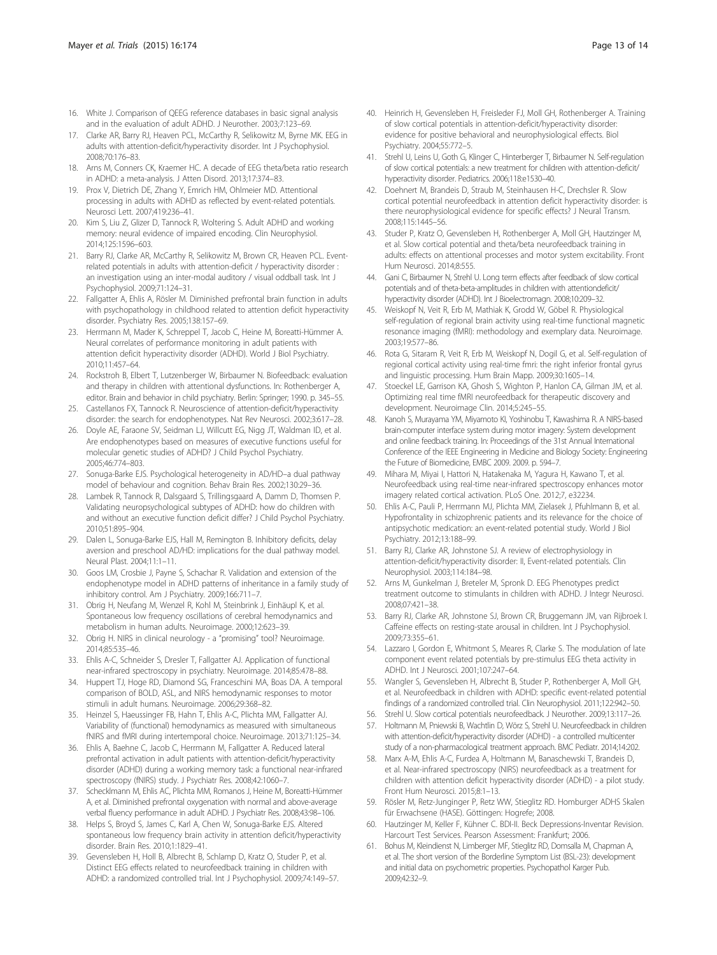- <span id="page-12-0"></span>16. White J. Comparison of QEEG reference databases in basic signal analysis and in the evaluation of adult ADHD. J Neurother. 2003;7:123–69.
- 17. Clarke AR, Barry RJ, Heaven PCL, McCarthy R, Selikowitz M, Byrne MK. EEG in adults with attention-deficit/hyperactivity disorder. Int J Psychophysiol. 2008;70:176–83.
- 18. Arns M, Conners CK, Kraemer HC. A decade of EEG theta/beta ratio research in ADHD: a meta-analysis. J Atten Disord. 2013;17:374–83.
- 19. Prox V, Dietrich DE, Zhang Y, Emrich HM, Ohlmeier MD. Attentional processing in adults with ADHD as reflected by event-related potentials. Neurosci Lett. 2007;419:236–41.
- 20. Kim S, Liu Z, Glizer D, Tannock R, Woltering S. Adult ADHD and working memory: neural evidence of impaired encoding. Clin Neurophysiol. 2014;125:1596–603.
- 21. Barry RJ, Clarke AR, McCarthy R, Selikowitz M, Brown CR, Heaven PCL. Eventrelated potentials in adults with attention-deficit / hyperactivity disorder : an investigation using an inter-modal auditory / visual oddball task. Int J Psychophysiol. 2009;71:124–31.
- 22. Fallgatter A, Ehlis A, Rösler M. Diminished prefrontal brain function in adults with psychopathology in childhood related to attention deficit hyperactivity disorder. Psychiatry Res. 2005;138:157–69.
- 23. Herrmann M, Mader K, Schreppel T, Jacob C, Heine M, Boreatti-Hümmer A. Neural correlates of performance monitoring in adult patients with attention deficit hyperactivity disorder (ADHD). World J Biol Psychiatry. 2010;11:457–64.
- 24. Rockstroh B, Elbert T, Lutzenberger W, Birbaumer N. Biofeedback: evaluation and therapy in children with attentional dysfunctions. In: Rothenberger A, editor. Brain and behavior in child psychiatry. Berlin: Springer; 1990. p. 345–55.
- 25. Castellanos FX, Tannock R. Neuroscience of attention-deficit/hyperactivity disorder: the search for endophenotypes. Nat Rev Neurosci. 2002;3:617–28.
- 26. Doyle AE, Faraone SV, Seidman LJ, Willcutt EG, Nigg JT, Waldman ID, et al. Are endophenotypes based on measures of executive functions useful for molecular genetic studies of ADHD? J Child Psychol Psychiatry. 2005;46:774–803.
- 27. Sonuga-Barke EJS. Psychological heterogeneity in AD/HD–a dual pathway model of behaviour and cognition. Behav Brain Res. 2002;130:29–36.
- 28. Lambek R, Tannock R, Dalsgaard S, Trillingsgaard A, Damm D, Thomsen P. Validating neuropsychological subtypes of ADHD: how do children with and without an executive function deficit differ? J Child Psychol Psychiatry. 2010;51:895–904.
- 29. Dalen L, Sonuga-Barke EJS, Hall M, Remington B. Inhibitory deficits, delay aversion and preschool AD/HD: implications for the dual pathway model. Neural Plast. 2004;11:1–11.
- 30. Goos LM, Crosbie J, Payne S, Schachar R. Validation and extension of the endophenotype model in ADHD patterns of inheritance in a family study of inhibitory control. Am J Psychiatry. 2009;166:711–7.
- 31. Obrig H, Neufang M, Wenzel R, Kohl M, Steinbrink J, Einhäupl K, et al. Spontaneous low frequency oscillations of cerebral hemodynamics and metabolism in human adults. Neuroimage. 2000;12:623–39.
- 32. Obrig H. NIRS in clinical neurology a "promising" tool? Neuroimage. 2014;85:535–46.
- 33. Ehlis A-C, Schneider S, Dresler T, Fallgatter AJ. Application of functional near-infrared spectroscopy in psychiatry. Neuroimage. 2014;85:478–88.
- 34. Huppert TJ, Hoge RD, Diamond SG, Franceschini MA, Boas DA. A temporal comparison of BOLD, ASL, and NIRS hemodynamic responses to motor stimuli in adult humans. Neuroimage. 2006;29:368–82.
- 35. Heinzel S, Haeussinger FB, Hahn T, Ehlis A-C, Plichta MM, Fallgatter AJ. Variability of (functional) hemodynamics as measured with simultaneous fNIRS and fMRI during intertemporal choice. Neuroimage. 2013;71:125–34.
- 36. Ehlis A, Baehne C, Jacob C, Herrmann M, Fallgatter A. Reduced lateral prefrontal activation in adult patients with attention-deficit/hyperactivity disorder (ADHD) during a working memory task: a functional near-infrared spectroscopy (fNIRS) study. J Psychiatr Res. 2008;42:1060–7.
- 37. Schecklmann M, Ehlis AC, Plichta MM, Romanos J, Heine M, Boreatti-Hümmer A, et al. Diminished prefrontal oxygenation with normal and above-average verbal fluency performance in adult ADHD. J Psychiatr Res. 2008;43:98–106.
- 38. Helps S, Broyd S, James C, Karl A, Chen W, Sonuga-Barke EJS. Altered spontaneous low frequency brain activity in attention deficit/hyperactivity disorder. Brain Res. 2010;1:1829–41.
- 39. Gevensleben H, Holl B, Albrecht B, Schlamp D, Kratz O, Studer P, et al. Distinct EEG effects related to neurofeedback training in children with ADHD: a randomized controlled trial. Int J Psychophysiol. 2009;74:149–57.
- 40. Heinrich H, Gevensleben H, Freisleder FJ, Moll GH, Rothenberger A. Training of slow cortical potentials in attention-deficit/hyperactivity disorder: evidence for positive behavioral and neurophysiological effects. Biol Psychiatry. 2004;55:772–5.
- 41. Strehl U, Leins U, Goth G, Klinger C, Hinterberger T, Birbaumer N. Self-regulation of slow cortical potentials: a new treatment for children with attention-deficit/ hyperactivity disorder. Pediatrics. 2006;118:e1530–40.
- 42. Doehnert M, Brandeis D, Straub M, Steinhausen H-C, Drechsler R. Slow cortical potential neurofeedback in attention deficit hyperactivity disorder: is there neurophysiological evidence for specific effects? J Neural Transm. 2008;115:1445–56.
- 43. Studer P, Kratz O, Gevensleben H, Rothenberger A, Moll GH, Hautzinger M, et al. Slow cortical potential and theta/beta neurofeedback training in adults: effects on attentional processes and motor system excitability. Front Hum Neurosci. 2014;8:555.
- 44. Gani C, Birbaumer N, Strehl U. Long term effects after feedback of slow cortical potentials and of theta-beta-amplitudes in children with attentiondeficit/ hyperactivity disorder (ADHD). Int J Bioelectromagn. 2008;10:209–32.
- 45. Weiskopf N, Veit R, Erb M, Mathiak K, Grodd W, Göbel R. Physiological self-regulation of regional brain activity using real-time functional magnetic resonance imaging (fMRI): methodology and exemplary data. Neuroimage. 2003;19:577–86.
- 46. Rota G, Sitaram R, Veit R, Erb M, Weiskopf N, Dogil G, et al. Self-regulation of regional cortical activity using real-time fmri: the right inferior frontal gyrus and linguistic processing. Hum Brain Mapp. 2009;30:1605–14.
- 47. Stoeckel LE, Garrison KA, Ghosh S, Wighton P, Hanlon CA, Gilman JM, et al. Optimizing real time fMRI neurofeedback for therapeutic discovery and development. Neuroimage Clin. 2014;5:245–55.
- 48. Kanoh S, Murayama YM, Miyamoto KI, Yoshinobu T, Kawashima R. A NIRS-based brain-computer interface system during motor imagery: System development and online feedback training. In: Proceedings of the 31st Annual International Conference of the IEEE Engineering in Medicine and Biology Society: Engineering the Future of Biomedicine, EMBC 2009. 2009. p. 594–7.
- 49. Mihara M, Miyai I, Hattori N, Hatakenaka M, Yagura H, Kawano T, et al. Neurofeedback using real-time near-infrared spectroscopy enhances motor imagery related cortical activation. PLoS One. 2012;7, e32234.
- 50. Ehlis A-C, Pauli P, Herrmann MJ, Plichta MM, Zielasek J, Pfuhlmann B, et al. Hypofrontality in schizophrenic patients and its relevance for the choice of antipsychotic medication: an event-related potential study. World J Biol Psychiatry. 2012;13:188–99.
- 51. Barry RJ, Clarke AR, Johnstone SJ. A review of electrophysiology in attention-deficit/hyperactivity disorder: II, Event-related potentials. Clin Neurophysiol. 2003;114:184–98.
- 52. Arns M, Gunkelman J, Breteler M, Spronk D. EEG Phenotypes predict treatment outcome to stimulants in children with ADHD. J Integr Neurosci. 2008;07:421–38.
- 53. Barry RJ, Clarke AR, Johnstone SJ, Brown CR, Bruggemann JM, van Rijbroek I. Caffeine effects on resting-state arousal in children. Int J Psychophysiol. 2009;73:355–61.
- 54. Lazzaro I, Gordon E, Whitmont S, Meares R, Clarke S. The modulation of late component event related potentials by pre-stimulus EEG theta activity in ADHD. Int J Neurosci. 2001;107:247–64.
- 55. Wangler S, Gevensleben H, Albrecht B, Studer P, Rothenberger A, Moll GH, et al. Neurofeedback in children with ADHD: specific event-related potential findings of a randomized controlled trial. Clin Neurophysiol. 2011;122:942–50.
- 56. Strehl U. Slow cortical potentials neurofeedback. J Neurother. 2009;13:117–26.
- 57. Holtmann M, Pniewski B, Wachtlin D, Wörz S, Strehl U. Neurofeedback in children with attention-deficit/hyperactivity disorder (ADHD) - a controlled multicenter study of a non-pharmacological treatment approach. BMC Pediatr. 2014;14:202.
- 58. Marx A-M, Ehlis A-C, Furdea A, Holtmann M, Banaschewski T, Brandeis D, et al. Near-infrared spectroscopy (NIRS) neurofeedback as a treatment for children with attention deficit hyperactivity disorder (ADHD) - a pilot study. Front Hum Neurosci. 2015;8:1–13.
- 59. Rösler M, Retz-Junginger P, Retz WW, Stieglitz RD. Homburger ADHS Skalen für Erwachsene (HASE). Göttingen: Hogrefe; 2008.
- 60. Hautzinger M, Keller F, Kühner C. BDI-II. Beck Depressions-Inventar Revision. Harcourt Test Services. Pearson Assessment: Frankfurt; 2006.
- 61. Bohus M, Kleindienst N, Limberger MF, Stieglitz RD, Domsalla M, Chapman A, et al. The short version of the Borderline Symptom List (BSL-23): development and initial data on psychometric properties. Psychopathol Karger Pub. 2009;42:32–9.